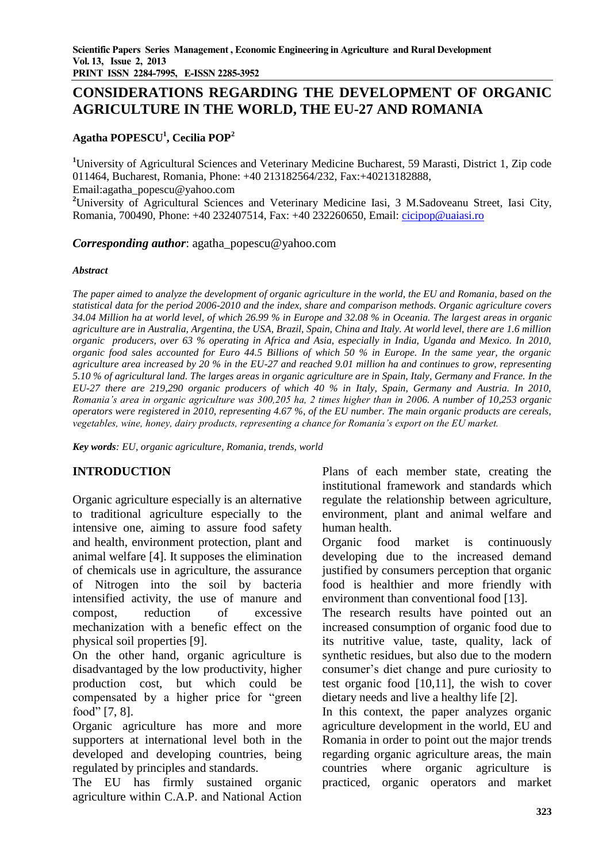# **CONSIDERATIONS REGARDING THE DEVELOPMENT OF ORGANIC AGRICULTURE IN THE WORLD, THE EU-27 AND ROMANIA**

## **Agatha POPESCU<sup>1</sup> , Cecilia POP<sup>2</sup>**

**<sup>1</sup>**University of Agricultural Sciences and Veterinary Medicine Bucharest, 59 Marasti, District 1, Zip code 011464, Bucharest, Romania, Phone: +40 213182564/232, Fax:+40213182888,

Email:agatha\_popescu@yahoo.com

<sup>2</sup>University of Agricultural Sciences and Veterinary Medicine Iasi, 3 M.Sadoveanu Street, Iasi City, Romania, 700490, Phone: +40 232407514, Fax: +40 232260650, Email: [cicipop@uaiasi.ro](mailto:cicipop@uaiasi.ro)

*Corresponding author*: agatha\_popescu@yahoo.com

### *Abstract*

*The paper aimed to analyze the development of organic agriculture in the world, the EU and Romania, based on the statistical data for the period 2006-2010 and the index, share and comparison methods. Organic agriculture covers 34.04 Million ha at world level, of which 26.99 % in Europe and 32.08 % in Oceania. The largest areas in organic agriculture are in Australia, Argentina, the USA, Brazil, Spain, China and Italy. At world level, there are 1.6 million organic producers, over 63 % operating in Africa and Asia, especially in India, Uganda and Mexico. In 2010, organic food sales accounted for Euro 44.5 Billions of which 50 % in Europe. In the same year, the organic agriculture area increased by 20 % in the EU-27 and reached 9.01 million ha and continues to grow, representing 5.10 % of agricultural land. The larges areas in organic agriculture are in Spain, Italy, Germany and France. In the EU-27 there are 219,290 organic producers of which 40 % in Italy, Spain, Germany and Austria. In 2010, Romania's area in organic agriculture was 300,205 ha, 2 times higher than in 2006. A number of 10,253 organic operators were registered in 2010, representing 4.67 %, of the EU number. The main organic products are cereals, vegetables, wine, honey, dairy products, representing a chance for Romania's export on the EU market.*

*Key words: EU, organic agriculture, Romania, trends, world* 

# **INTRODUCTION**

Organic agriculture especially is an alternative to traditional agriculture especially to the intensive one, aiming to assure food safety and health, environment protection, plant and animal welfare [4]. It supposes the elimination of chemicals use in agriculture, the assurance of Nitrogen into the soil by bacteria intensified activity, the use of manure and compost, reduction of excessive mechanization with a benefic effect on the physical soil properties [9].

On the other hand, organic agriculture is disadvantaged by the low productivity, higher production cost, but which could be compensated by a higher price for "green food" [7, 8].

Organic agriculture has more and more supporters at international level both in the developed and developing countries, being regulated by principles and standards.

The EU has firmly sustained organic agriculture within C.A.P. and National Action

Plans of each member state, creating the institutional framework and standards which regulate the relationship between agriculture, environment, plant and animal welfare and human health.

Organic food market is continuously developing due to the increased demand justified by consumers perception that organic food is healthier and more friendly with environment than conventional food [13].

The research results have pointed out an increased consumption of organic food due to its nutritive value, taste, quality, lack of synthetic residues, but also due to the modern consumer's diet change and pure curiosity to test organic food [10,11], the wish to cover dietary needs and live a healthy life [2].

In this context, the paper analyzes organic agriculture development in the world, EU and Romania in order to point out the major trends regarding organic agriculture areas, the main countries where organic agriculture is practiced, organic operators and market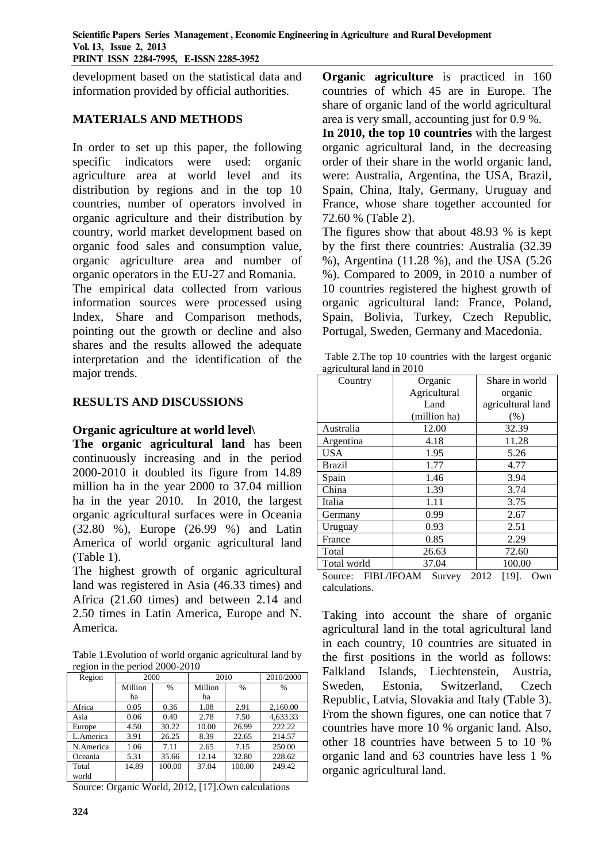development based on the statistical data and information provided by official authorities.

## **MATERIALS AND METHODS**

In order to set up this paper, the following specific indicators were used: organic agriculture area at world level and its distribution by regions and in the top 10 countries, number of operators involved in organic agriculture and their distribution by country, world market development based on organic food sales and consumption value, organic agriculture area and number of organic operators in the EU-27 and Romania. The empirical data collected from various information sources were processed using Index, Share and Comparison methods, pointing out the growth or decline and also shares and the results allowed the adequate interpretation and the identification of the major trends.

## **RESULTS AND DISCUSSIONS**

## **Organic agriculture at world level\**

**The organic agricultural land** has been continuously increasing and in the period 2000-2010 it doubled its figure from 14.89 million ha in the year 2000 to 37.04 million ha in the year 2010. In 2010, the largest organic agricultural surfaces were in Oceania (32.80 %), Europe (26.99 %) and Latin America of world organic agricultural land (Table 1).

The highest growth of organic agricultural land was registered in Asia (46.33 times) and Africa (21.60 times) and between 2.14 and 2.50 times in Latin America, Europe and N. America.

Table 1.Evolution of world organic agricultural land by region in the period 2000-2010

| Region    | 2000    |        | 2010    | 2010/2000     |               |
|-----------|---------|--------|---------|---------------|---------------|
|           | Million | $\%$   | Million | $\frac{0}{0}$ | $\frac{0}{0}$ |
|           | ha      |        | ha      |               |               |
| Africa    | 0.05    | 0.36   | 1.08    | 2.91          | 2.160.00      |
| Asia      | 0.06    | 0.40   | 2.78    | 7.50          | 4.633.33      |
| Europe    | 4.50    | 30.22  | 10.00   | 26.99         | 222.22        |
| L.America | 3.91    | 26.25  | 8.39    | 22.65         | 214.57        |
| N.America | 1.06    | 7.11   | 2.65    | 7.15          | 250.00        |
| Oceania   | 5.31    | 35.66  | 12.14   | 32.80         | 228.62        |
| Total     | 14.89   | 100.00 | 37.04   | 100.00        | 249.42        |
| world     |         |        |         |               |               |

Source: Organic World, 2012, [17].Own calculations

**Organic agriculture** is practiced in 160 countries of which 45 are in Europe. The share of organic land of the world agricultural area is very small, accounting just for 0.9 %.

**In 2010, the top 10 countries** with the largest organic agricultural land, in the decreasing order of their share in the world organic land, were: Australia, Argentina, the USA, Brazil, Spain, China, Italy, Germany, Uruguay and France, whose share together accounted for 72.60 % (Table 2).

The figures show that about 48.93 % is kept by the first there countries: Australia (32.39 %), Argentina (11.28 %), and the USA (5.26 %). Compared to 2009, in 2010 a number of 10 countries registered the highest growth of organic agricultural land: France, Poland, Spain, Bolivia, Turkey, Czech Republic, Portugal, Sweden, Germany and Macedonia.

| Table 2. The top 10 countries with the largest organic |  |  |
|--------------------------------------------------------|--|--|
| agricultural land in 2010                              |  |  |

| Country                                                                         | Organic         | Share in world    |  |  |  |  |
|---------------------------------------------------------------------------------|-----------------|-------------------|--|--|--|--|
|                                                                                 | Agricultural    | organic           |  |  |  |  |
|                                                                                 | Land            | agricultural land |  |  |  |  |
|                                                                                 | (million ha)    | (%)               |  |  |  |  |
| Australia                                                                       | 12.00<br>32.39  |                   |  |  |  |  |
| Argentina                                                                       | 4.18            | 11.28             |  |  |  |  |
| <b>USA</b>                                                                      | 1.95            | 5.26              |  |  |  |  |
| Brazil                                                                          | 1.77            | 4.77              |  |  |  |  |
| Spain                                                                           | 1.46            | 3.94              |  |  |  |  |
| China                                                                           | 1.39            | 3.74              |  |  |  |  |
| Italia                                                                          | 1.11            | 3.75              |  |  |  |  |
| Germany                                                                         | 0.99            | 2.67              |  |  |  |  |
| Uruguay                                                                         | 0.93            | 2.51              |  |  |  |  |
| France                                                                          | 0.85            | 2.29              |  |  |  |  |
| Total                                                                           | 26.63<br>72.60  |                   |  |  |  |  |
| Total world                                                                     | 100.00<br>37.04 |                   |  |  |  |  |
| 2012<br><b>FIBL/IFOAM</b><br>[19].<br>Source:<br>Survey<br>Own<br>calculations. |                 |                   |  |  |  |  |

Taking into account the share of organic agricultural land in the total agricultural land in each country, 10 countries are situated in the first positions in the world as follows: Falkland Islands, Liechtenstein, Austria, Sweden, Estonia, Switzerland, Czech Republic, Latvia, Slovakia and Italy (Table 3). From the shown figures, one can notice that 7 countries have more 10 % organic land. Also, other 18 countries have between 5 to 10 % organic land and 63 countries have less 1 % organic agricultural land.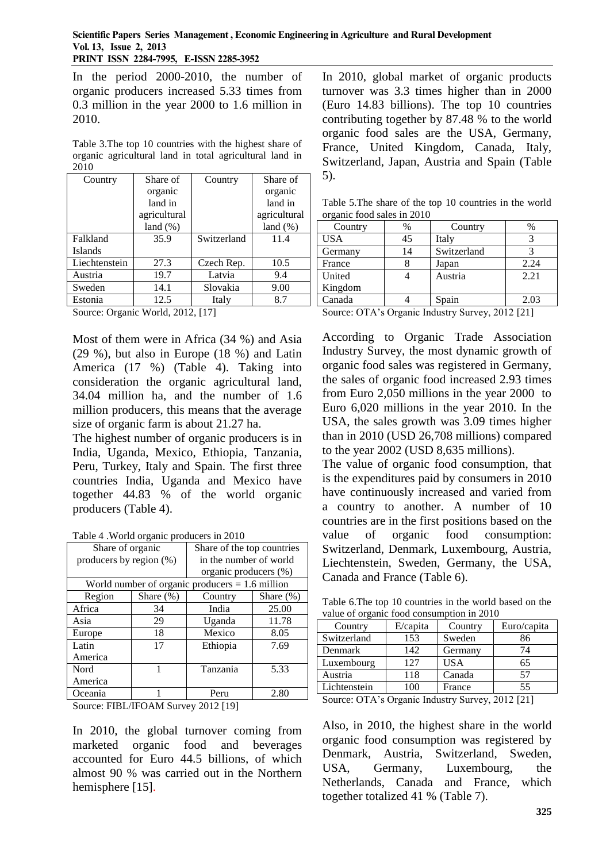In the period 2000-2010, the number of organic producers increased 5.33 times from 0.3 million in the year 2000 to 1.6 million in 2010.

Table 3.The top 10 countries with the highest share of organic agricultural land in total agricultural land in 2010

| Country        | Share of     | Country     | Share of     |
|----------------|--------------|-------------|--------------|
|                | organic      |             | organic      |
|                | land in      |             | land in      |
|                | agricultural |             | agricultural |
|                | $land (\%)$  |             | $land (\%)$  |
| Falkland       | 35.9         | Switzerland | 11.4         |
| <b>Islands</b> |              |             |              |
| Liechtenstein  | 27.3         | Czech Rep.  | 10.5         |
| Austria        | 19.7         | Latvia      | 9.4          |
| Sweden         | 14.1         | Slovakia    | 9.00         |
| Estonia        | 12.5         | Italy       | 8.7          |

Source: Organic World, 2012, [17]

Most of them were in Africa (34 %) and Asia (29 %), but also in Europe (18 %) and Latin America (17 %) (Table 4). Taking into consideration the organic agricultural land, 34.04 million ha, and the number of 1.6 million producers, this means that the average size of organic farm is about 21.27 ha.

The highest number of organic producers is in India, Uganda, Mexico, Ethiopia, Tanzania, Peru, Turkey, Italy and Spain. The first three countries India, Uganda and Mexico have together 44.83 % of the world organic producers (Table 4).

|  | Table 4. World organic producers in 2010 |  |
|--|------------------------------------------|--|
|  |                                          |  |

| Share of organic        |              | Share of the top countries                        |              |  |  |  |
|-------------------------|--------------|---------------------------------------------------|--------------|--|--|--|
| producers by region (%) |              | in the number of world                            |              |  |  |  |
|                         |              | organic producers (%)                             |              |  |  |  |
|                         |              | World number of organic producers $= 1.6$ million |              |  |  |  |
| Region                  | Share $(\%)$ | Country                                           | Share $(\%)$ |  |  |  |
| Africa                  | 34           | India                                             | 25.00        |  |  |  |
| Asia                    | 29           | Uganda                                            | 11.78        |  |  |  |
| Europe                  | 18           | Mexico                                            | 8.05         |  |  |  |
| Latin                   | 17           | Ethiopia                                          | 7.69         |  |  |  |
| America                 |              |                                                   |              |  |  |  |
| Nord                    | 1            | Tanzania                                          | 5.33         |  |  |  |
| America                 |              |                                                   |              |  |  |  |
| Oceania                 |              | Peru                                              | 2.80         |  |  |  |

Source: FIBL/IFOAM Survey 2012 [19]

In 2010, the global turnover coming from marketed organic food and beverages accounted for Euro 44.5 billions, of which almost 90 % was carried out in the Northern hemisphere [15].

In 2010, global market of organic products turnover was 3.3 times higher than in 2000 (Euro 14.83 billions). The top 10 countries contributing together by 87.48 % to the world organic food sales are the USA, Germany, France, United Kingdom, Canada, Italy, Switzerland, Japan, Austria and Spain (Table 5).

Table 5.The share of the top 10 countries in the world organic food sales in 2010

| %  | Country     | $\%$    |
|----|-------------|---------|
| 45 | Italy       |         |
| 14 | Switzerland |         |
|    | Japan       | 2.24    |
|    | Austria     | 2.21    |
|    |             |         |
|    | Spain       | 2.03    |
|    | $\sim$      | __<br>- |

Source: OTA's Organic Industry Survey, 2012 [21]

According to Organic Trade Association Industry Survey, the most dynamic growth of organic food sales was registered in Germany, the sales of organic food increased 2.93 times from Euro 2,050 millions in the year 2000 to Euro 6,020 millions in the year 2010. In the USA, the sales growth was 3.09 times higher than in 2010 (USD 26,708 millions) compared to the year 2002 (USD 8,635 millions).

The value of organic food consumption, that is the expenditures paid by consumers in 2010 have continuously increased and varied from a country to another. A number of 10 countries are in the first positions based on the value of organic food consumption: Switzerland, Denmark, Luxembourg, Austria, Liechtenstein, Sweden, Germany, the USA, Canada and France (Table 6).

Table 6.The top 10 countries in the world based on the value of organic food consumption in 2010

| Country      | $E/c$ apita            | Country    | Euro/capita |
|--------------|------------------------|------------|-------------|
| Switzerland  | 153                    | Sweden     | 86          |
| Denmark      | 142                    | Germany    | 74          |
| Luxembourg   | 127                    | <b>USA</b> | 65          |
| Austria      | 118                    | Canada     | 57          |
| Lichtenstein | 100                    | France     | 55          |
| $   -$       | $\sim$<br>--<br>$\sim$ |            | - - -       |

Source: OTA's Organic Industry Survey, 2012 [21]

Also, in 2010, the highest share in the world organic food consumption was registered by Denmark, Austria, Switzerland, Sweden, USA, Germany, Luxembourg, the Netherlands, Canada and France, which together totalized 41 % (Table 7).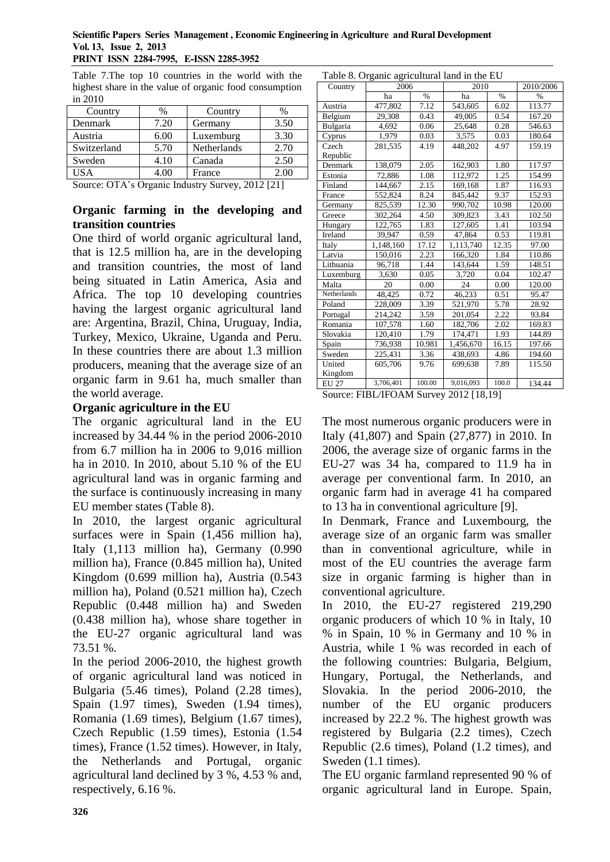#### **Scientific Papers Series Management , Economic Engineering in Agriculture and Rural Development Vol. 13, Issue 2, 2013 PRINT ISSN 2284-7995, E-ISSN 2285-3952**

Table 7.The top 10 countries in the world with the highest share in the value of organic food consumption in 2010

| Country     | %    | Country     | $\%$ |
|-------------|------|-------------|------|
| Denmark     | 7.20 | Germany     | 3.50 |
| Austria     | 6.00 | Luxemburg   | 3.30 |
| Switzerland | 5.70 | Netherlands | 2.70 |
| Sweden      | 4.10 | Canada      | 2.50 |
| USA         | 4.00 | France      | 2.00 |

Source: OTA's Organic Industry Survey, 2012 [21]

### **Organic farming in the developing and transition countries**

One third of world organic agricultural land, that is 12.5 million ha, are in the developing and transition countries, the most of land being situated in Latin America, Asia and Africa. The top 10 developing countries having the largest organic agricultural land are: Argentina, Brazil, China, Uruguay, India, Turkey, Mexico, Ukraine, Uganda and Peru. In these countries there are about 1.3 million producers, meaning that the average size of an organic farm in 9.61 ha, much smaller than the world average.

### **Organic agriculture in the EU**

The organic agricultural land in the EU increased by 34.44 % in the period 2006-2010 from 6.7 million ha in 2006 to 9,016 million ha in 2010. In 2010, about 5.10 % of the EU agricultural land was in organic farming and the surface is continuously increasing in many EU member states (Table 8).

In 2010, the largest organic agricultural surfaces were in Spain  $(1,456$  million ha), Italy (1,113 million ha), Germany (0.990 million ha), France (0.845 million ha), United Kingdom (0.699 million ha), Austria (0.543 million ha), Poland (0.521 million ha), Czech Republic (0.448 million ha) and Sweden (0.438 million ha), whose share together in the EU-27 organic agricultural land was 73.51 %.

In the period 2006-2010, the highest growth of organic agricultural land was noticed in Bulgaria (5.46 times), Poland (2.28 times), Spain (1.97 times), Sweden (1.94 times), Romania (1.69 times), Belgium (1.67 times), Czech Republic (1.59 times), Estonia (1.54 times), France (1.52 times). However, in Italy, the Netherlands and Portugal, organic agricultural land declined by 3 %, 4.53 % and, respectively, 6.16 %.

| Table 8. Organic agricultural land in the EU |           |        |           |       |               |  |
|----------------------------------------------|-----------|--------|-----------|-------|---------------|--|
| Country                                      | 2006      |        | 2010      |       | 2010/2006     |  |
|                                              | ha        | $\%$   | ha        | $\%$  | $\frac{0}{0}$ |  |
| Austria                                      | 477,802   | 7.12   | 543,605   | 6.02  | 113.77        |  |
| Belgium                                      | 29,308    | 0.43   | 49,005    | 0.54  | 167.20        |  |
| Bulgaria                                     | 4,692     | 0.06   | 25,648    | 0.28  | 546.63        |  |
| Cyprus                                       | 1,979     | 0.03   | 3,575     | 0.03  | 180.64        |  |
| Czech                                        | 281,535   | 4.19   | 448,202   | 4.97  | 159.19        |  |
| Republic                                     |           |        |           |       |               |  |
| Denmark                                      | 138,079   | 2.05   | 162,903   | 1.80  | 117.97        |  |
| Estonia                                      | 72,886    | 1.08   | 112,972   | 1.25  | 154.99        |  |
| Finland                                      | 144,667   | 2.15   | 169,168   | 1.87  | 116.93        |  |
| France                                       | 552,824   | 8.24   | 845,442   | 9.37  | 152.93        |  |
| Germany                                      | 825,539   | 12.30  | 990,702   | 10.98 | 120.00        |  |
| Greece                                       | 302,264   | 4.50   | 309,823   | 3.43  | 102.50        |  |
| Hungary                                      | 122,765   | 1.83   | 127,605   | 1.41  | 103.94        |  |
| Ireland                                      | 39,947    | 0.59   | 47,864    | 0.53  | 119.81        |  |
| Italy                                        | 1,148,160 | 17.12  | 1,113,740 | 12.35 | 97.00         |  |
| Latvia                                       | 150,016   | 2.23   | 166,320   | 1.84  | 110.86        |  |
| Lithuania                                    | 96,718    | 1.44   | 143,644   | 1.59  | 148.51        |  |
| Luxemburg                                    | 3,630     | 0.05   | 3,720     | 0.04  | 102.47        |  |
| Malta                                        | 20        | 0.00   | 24        | 0.00  | 120.00        |  |
| Netherlands                                  | 48,425    | 0.72   | 46,233    | 0.51  | 95.47         |  |
| Poland                                       | 228,009   | 3.39   | 521,970   | 5.78  | 28.92         |  |
| Portugal                                     | 214,242   | 3.59   | 201,054   | 2.22  | 93.84         |  |
| Romania                                      | 107,578   | 1.60   | 182,706   | 2.02  | 169.83        |  |
| Slovakia                                     | 120,410   | 1.79   | 174,471   | 1.93  | 144.89        |  |
| Spain                                        | 736,938   | 10.981 | 1,456,670 | 16.15 | 197.66        |  |
| Sweden                                       | 225,431   | 3.36   | 438,693   | 4.86  | 194.60        |  |
| United                                       | 605,706   | 9.76   | 699,638   | 7.89  | 115.50        |  |
| Kingdom                                      |           |        |           |       |               |  |
| <b>EU 27</b>                                 | 3,706,401 | 100.00 | 9,016,093 | 100.0 | 134.44        |  |
|                                              |           |        |           |       |               |  |

Table 8. Organic agricultural land in the EU

Source: FIBL/IFOAM Survey 2012 [18,19]

The most numerous organic producers were in Italy (41,807) and Spain (27,877) in 2010. In 2006, the average size of organic farms in the EU-27 was 34 ha, compared to 11.9 ha in average per conventional farm. In 2010, an organic farm had in average 41 ha compared to 13 ha in conventional agriculture [9].

In Denmark, France and Luxembourg, the average size of an organic farm was smaller than in conventional agriculture, while in most of the EU countries the average farm size in organic farming is higher than in conventional agriculture.

In 2010, the EU-27 registered 219,290 organic producers of which 10 % in Italy, 10 % in Spain, 10 % in Germany and 10 % in Austria, while 1 % was recorded in each of the following countries: Bulgaria, Belgium, Hungary, Portugal, the Netherlands, and Slovakia. In the period 2006-2010, the number of the EU organic producers increased by 22.2 %. The highest growth was registered by Bulgaria (2.2 times), Czech Republic (2.6 times), Poland (1.2 times), and Sweden (1.1 times).

The EU organic farmland represented 90 % of organic agricultural land in Europe. Spain,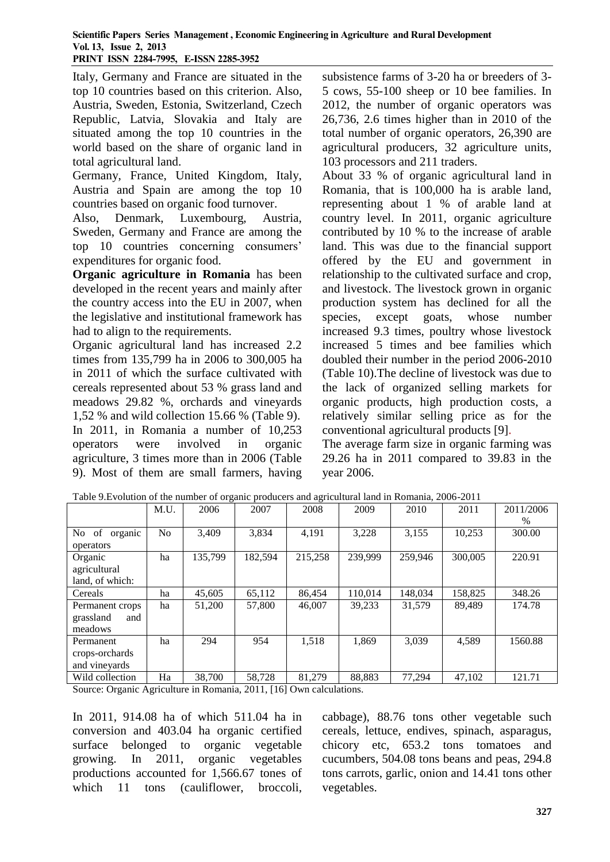Italy, Germany and France are situated in the top 10 countries based on this criterion. Also, Austria, Sweden, Estonia, Switzerland, Czech Republic, Latvia, Slovakia and Italy are situated among the top 10 countries in the world based on the share of organic land in total agricultural land.

Germany, France, United Kingdom, Italy, Austria and Spain are among the top 10 countries based on organic food turnover.

Also, Denmark, Luxembourg, Austria, Sweden, Germany and France are among the top 10 countries concerning consumers' expenditures for organic food.

**Organic agriculture in Romania** has been developed in the recent years and mainly after the country access into the EU in 2007, when the legislative and institutional framework has had to align to the requirements.

Organic agricultural land has increased 2.2 times from 135,799 ha in 2006 to 300,005 ha in 2011 of which the surface cultivated with cereals represented about 53 % grass land and meadows 29.82 %, orchards and vineyards 1,52 % and wild collection 15.66 % (Table 9). In 2011, in Romania a number of 10,253 operators were involved in organic agriculture, 3 times more than in 2006 (Table 9). Most of them are small farmers, having subsistence farms of 3-20 ha or breeders of 3- 5 cows, 55-100 sheep or 10 bee families. In 2012, the number of organic operators was 26,736, 2.6 times higher than in 2010 of the total number of organic operators, 26,390 are agricultural producers, 32 agriculture units, 103 processors and 211 traders.

About 33 % of organic agricultural land in Romania, that is 100,000 ha is arable land, representing about 1 % of arable land at country level. In 2011, organic agriculture contributed by 10 % to the increase of arable land. This was due to the financial support offered by the EU and government in relationship to the cultivated surface and crop, and livestock. The livestock grown in organic production system has declined for all the species, except goats, whose number increased 9.3 times, poultry whose livestock increased 5 times and bee families which doubled their number in the period 2006-2010 (Table 10).The decline of livestock was due to the lack of organized selling markets for organic products, high production costs, a relatively similar selling price as for the conventional agricultural products [9].

The average farm size in organic farming was 29.26 ha in 2011 compared to 39.83 in the year 2006.

|                                                | M.U.           | 2006    | 2007        | 2008    | 2009    | 2010    | 2011    | 2011/2006<br>$\%$ |
|------------------------------------------------|----------------|---------|-------------|---------|---------|---------|---------|-------------------|
| organic<br>No of<br>operators                  | N <sub>o</sub> | 3,409   | 3,834       | 4,191   | 3,228   | 3,155   | 10,253  | 300.00            |
| Organic<br>agricultural<br>land, of which:     | ha             | 135.799 | 182,594     | 215,258 | 239.999 | 259,946 | 300,005 | 220.91            |
| Cereals                                        | ha             | 45,605  | 65,112      | 86,454  | 110,014 | 148.034 | 158,825 | 348.26            |
| Permanent crops<br>grassland<br>and<br>meadows | ha             | 51,200  | 57,800      | 46,007  | 39.233  | 31.579  | 89.489  | 174.78            |
| Permanent<br>crops-orchards<br>and vineyards   | ha             | 294     | 954         | 1.518   | 1.869   | 3.039   | 4,589   | 1560.88           |
| Wild collection                                | Ha             | 38,700  | 58,728<br>. | 81,279  | 88,883  | 77,294  | 47,102  | 121.71            |

Table 9.Evolution of the number of organic producers and agricultural land in Romania, 2006-2011

Source: Organic Agriculture in Romania, 2011, [16] Own calculations.

In 2011, 914.08 ha of which 511.04 ha in conversion and 403.04 ha organic certified surface belonged to organic vegetable growing. In 2011, organic vegetables productions accounted for 1,566.67 tones of which 11 tons (cauliflower, broccoli,

cabbage), 88.76 tons other vegetable such cereals, lettuce, endives, spinach, asparagus, chicory etc, 653.2 tons tomatoes and cucumbers, 504.08 tons beans and peas, 294.8 tons carrots, garlic, onion and 14.41 tons other vegetables.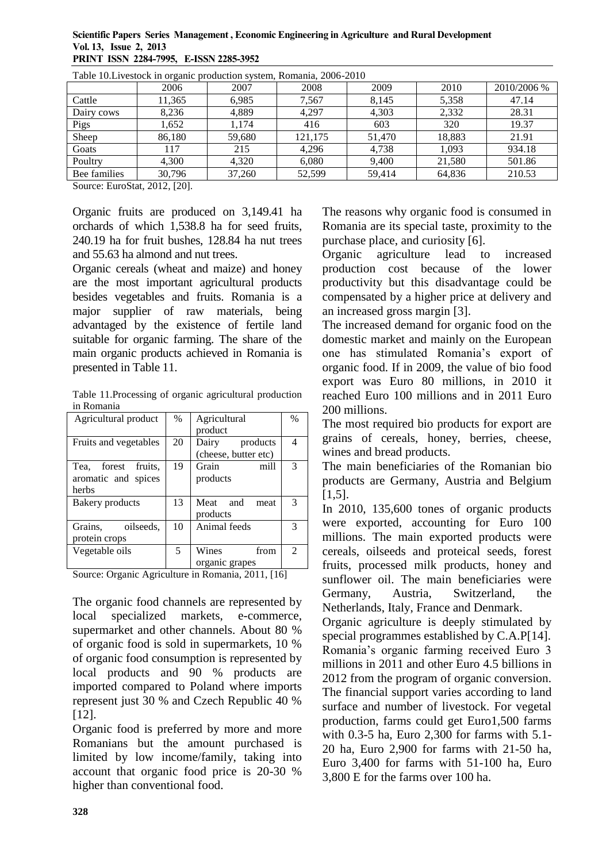#### **Scientific Papers Series Management , Economic Engineering in Agriculture and Rural Development Vol. 13, Issue 2, 2013 PRINT ISSN 2284-7995, E-ISSN 2285-3952**

| Table TO. LIVESTOCK III OLGANIC PROGRAMMI SYSTEM, KOMANIA, 2000-2010 |        |        |         |        |        |             |  |  |
|----------------------------------------------------------------------|--------|--------|---------|--------|--------|-------------|--|--|
|                                                                      | 2006   | 2007   | 2008    | 2009   | 2010   | 2010/2006 % |  |  |
| Cattle                                                               | 11,365 | 6.985  | 7,567   | 8,145  | 5,358  | 47.14       |  |  |
| Dairy cows                                                           | 8,236  | 4.889  | 4.297   | 4,303  | 2,332  | 28.31       |  |  |
| Pigs                                                                 | 1,652  | 1.174  | 416     | 603    | 320    | 19.37       |  |  |
| Sheep                                                                | 86.180 | 59,680 | 121.175 | 51,470 | 18.883 | 21.91       |  |  |
| Goats                                                                | 117    | 215    | 4.296   | 4,738  | 1.093  | 934.18      |  |  |
| Poultry                                                              | 4,300  | 4,320  | 6,080   | 9,400  | 21,580 | 501.86      |  |  |
| Bee families                                                         | 30,796 | 37,260 | 52.599  | 59.414 | 64,836 | 210.53      |  |  |

Table 10.Livestock in organic production system, Romania, 2006-2010

Source: EuroStat, 2012, [20].

Organic fruits are produced on 3,149.41 ha orchards of which 1,538.8 ha for seed fruits, 240.19 ha for fruit bushes, 128.84 ha nut trees and 55.63 ha almond and nut trees.

Organic cereals (wheat and maize) and honey are the most important agricultural products besides vegetables and fruits. Romania is a major supplier of raw materials, being advantaged by the existence of fertile land suitable for organic farming. The share of the main organic products achieved in Romania is presented in Table 11.

Table 11.Processing of organic agricultural production in Romania

| Agricultural product                                   | $\%$ | Agricultural<br>product                   | $\frac{0}{0}$               |
|--------------------------------------------------------|------|-------------------------------------------|-----------------------------|
| Fruits and vegetables                                  | 20   | Dairy<br>products<br>(cheese, butter etc) | 4                           |
| forest fruits.<br>Tea.<br>aromatic and spices<br>herbs | 19   | Grain<br>mill<br>products                 | 3                           |
| Bakery products                                        | 13   | Meat and<br>meat<br>products              | $\mathcal{R}$               |
| Grains.<br>oilseeds.<br>protein crops                  | 10   | Animal feeds                              | 3                           |
| Vegetable oils                                         | 5    | Wines<br>from<br>organic grapes           | $\mathcal{D}_{\mathcal{L}}$ |

Source: Organic Agriculture in Romania, 2011, [16]

The organic food channels are represented by local specialized markets, e-commerce, supermarket and other channels. About 80 % of organic food is sold in supermarkets, 10 % of organic food consumption is represented by local products and 90 % products are imported compared to Poland where imports represent just 30 % and Czech Republic 40 % [12].

Organic food is preferred by more and more Romanians but the amount purchased is limited by low income/family, taking into account that organic food price is 20-30 % higher than conventional food.

The reasons why organic food is consumed in Romania are its special taste, proximity to the purchase place, and curiosity [6].

Organic agriculture lead to increased production cost because of the lower productivity but this disadvantage could be compensated by a higher price at delivery and an increased gross margin [3].

The increased demand for organic food on the domestic market and mainly on the European one has stimulated Romania's export of organic food. If in 2009, the value of bio food export was Euro 80 millions, in 2010 it reached Euro 100 millions and in 2011 Euro 200 millions.

The most required bio products for export are grains of cereals, honey, berries, cheese, wines and bread products.

The main beneficiaries of the Romanian bio products are Germany, Austria and Belgium [1,5].

In 2010, 135,600 tones of organic products were exported, accounting for Euro 100 millions. The main exported products were cereals, oilseeds and proteical seeds, forest fruits, processed milk products, honey and sunflower oil. The main beneficiaries were Germany, Austria, Switzerland, the Netherlands, Italy, France and Denmark.

Organic agriculture is deeply stimulated by special programmes established by C.A.P[14]. Romania's organic farming received Euro 3 millions in 2011 and other Euro 4.5 billions in 2012 from the program of organic conversion. The financial support varies according to land surface and number of livestock. For vegetal production, farms could get Euro1,500 farms with 0.3-5 ha, Euro 2,300 for farms with 5.1- 20 ha, Euro 2,900 for farms with 21-50 ha, Euro 3,400 for farms with 51-100 ha, Euro 3,800 E for the farms over 100 ha.